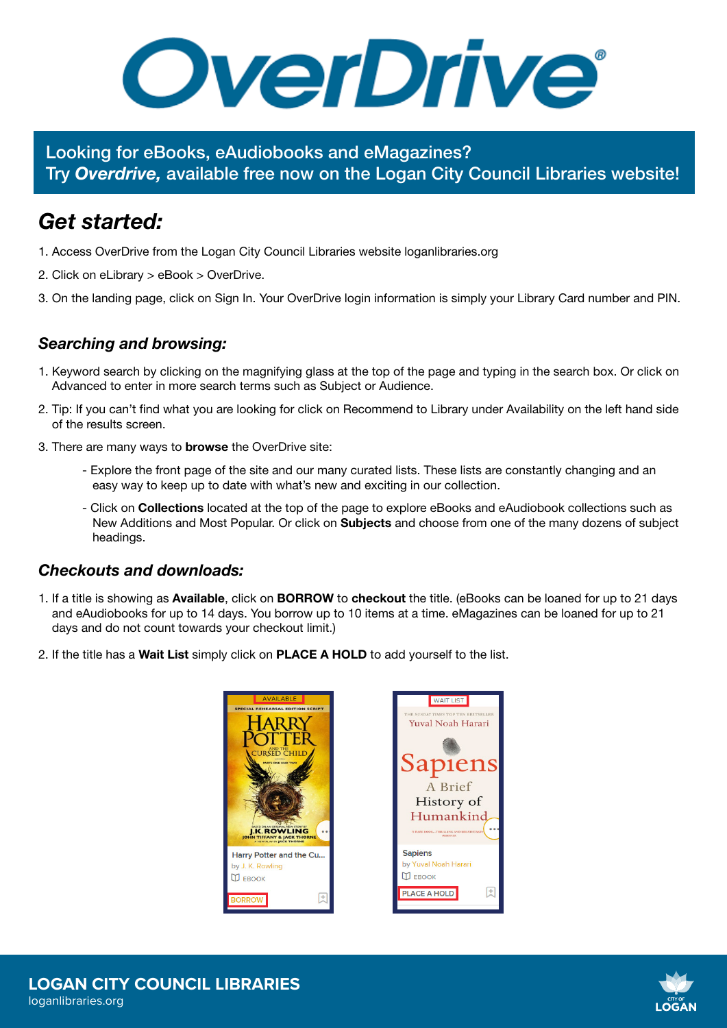OverDrive®

Looking for eBooks, eAudiobooks and eMagazines? Try *Overdrive,* available free now on the Logan City Council Libraries website!

## *Get started:*

- 1. Access OverDrive from the Logan City Council Libraries website loganlibraries.org
- 2. Click on eLibrary > eBook > OverDrive.
- 3. On the landing page, click on Sign In. Your OverDrive login information is simply your Library Card number and PIN.

## *Searching and browsing:*

- 1. Keyword search by clicking on the magnifying glass at the top of the page and typing in the search box. Or click on Advanced to enter in more search terms such as Subject or Audience.
- 2. Tip: If you can't find what you are looking for click on Recommend to Library under Availability on the left hand side of the results screen.
- 3. There are many ways to browse the OverDrive site:
	- Explore the front page of the site and our many curated lists. These lists are constantly changing and an easy way to keep up to date with what's new and exciting in our collection.
	- Click on Collections located at the top of the page to explore eBooks and eAudiobook collections such as New Additions and Most Popular. Or click on **Subjects** and choose from one of the many dozens of subject headings.

## *Checkouts and downloads:*

- 1. If a title is showing as **Available**, click on **BORROW** to checkout the title. (eBooks can be loaned for up to 21 days and eAudiobooks for up to 14 days. You borrow up to 10 items at a time. eMagazines can be loaned for up to 21 days and do not count towards your checkout limit.)
- 2. If the title has a Wait List simply click on PLACE A HOLD to add yourself to the list.